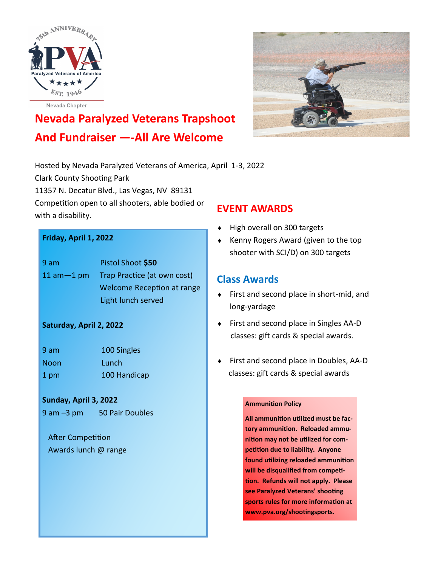



# **Nevada Paralyzed Veterans Trapshoot And Fundraiser —-All Are Welcome**

Hosted by Nevada Paralyzed Veterans of America, April 1-3, 2022 Clark County Shooting Park 11357 N. Decatur Blvd., Las Vegas, NV 89131 Competition open to all shooters, able bodied or with a disability.

### **Friday, April 1, 2022**

| 9am             | Pistol Shoot \$50                 |
|-----------------|-----------------------------------|
| $11$ am $-1$ pm | Trap Practice (at own cost)       |
|                 | <b>Welcome Reception at range</b> |
|                 | Light lunch served                |

### **Saturday, April 2, 2022**

| 9 am | 100 Singles  |
|------|--------------|
| Noon | Lunch        |
| 1 pm | 100 Handicap |

#### **Sunday, April 3, 2022**

9 am -3 pm 50 Pair Doubles

 After Competition Awards lunch @ range

### **EVENT AWARDS**

- High overall on 300 targets
- ◆ Kenny Rogers Award (given to the top shooter with SCI/D) on 300 targets

### **Class Awards**

- First and second place in short-mid, and long-yardage
- ◆ First and second place in Singles AA-D classes: gift cards & special awards.
- First and second place in Doubles, AA-D classes: gift cards & special awards

#### **Ammunition Policy**

**All ammunition utilized must be factory ammunition. Reloaded ammunition may not be utilized for competition due to liability. Anyone found utilizing reloaded ammunition will be disqualified from competition. Refunds will not apply. Please see Paralyzed Veterans' shooting sports rules for more information at www.pva.org/shootingsports.**